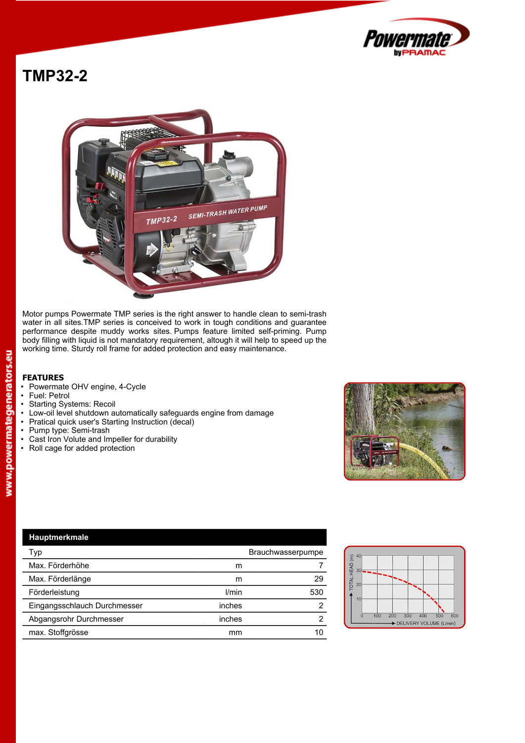

## **TMP32-2**



Motor pumps Powermate TMP series is the right answer to handle clean to semi-trash water in all sites.TMP series is conceived to work in tough conditions and guarantee performance despite muddy works sites. Pumps feature limited self-priming. Pump body filling with liquid is not mandatory requirement, altough it will help to speed up the working time. Sturdy roll frame for added protection and easy maintenance.

## **FEATURES**

- Powermate OHV engine, 4-Cycle<br>• Fuel: Petrol
- 
- Fuel: Petrol Starting Systems: Recoil
- Low-oil level shutdown automatically safeguards engine from damage<br>• Pratical quick user's Starting Instruction (decal)
- Pratical quick user's Starting Instruction (decal)<br>• Pump type: Semi-trash
- Pump type: Semi-trash
- Cast Iron Volute and Impeller for durability
- Roll cage for added protection



| Hauptmerkmale                |                   |     |                                                                   |
|------------------------------|-------------------|-----|-------------------------------------------------------------------|
| Typ                          | Brauchwasserpumpe |     | $\widehat{\Xi}^{40}$                                              |
| Max. Förderhöhe              | m                 |     | ₽<br>$-30$ $ -$<br>뿦                                              |
| Max. Förderlänge             | m                 | 29  | <b>TOTAL</b><br>20                                                |
| Förderleistung               | l/min             | 530 |                                                                   |
| Eingangsschlauch Durchmesser | inches            |     |                                                                   |
| Abgangsrohr Durchmesser      | inches            |     | 500<br>100<br>200<br>300<br>400<br>600<br>DELIVERY VOLUME (L/min) |
| max. Stoffgrösse             | mm                | 10  |                                                                   |